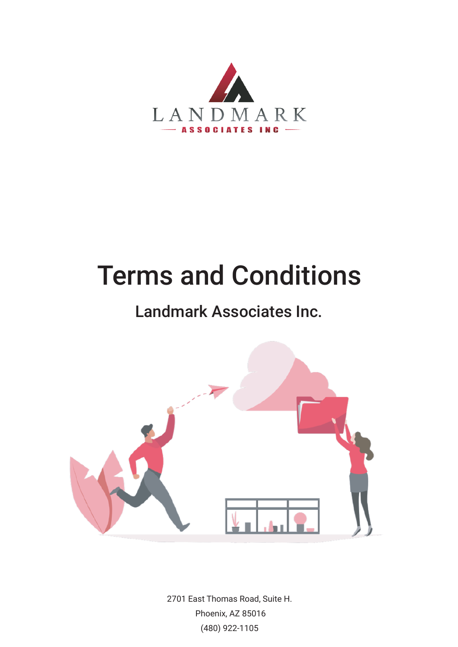

# Terms and Conditions

# Landmark Associates Inc.



2701 East Thomas Road, Suite H. Phoenix, AZ 85016 (480) 922-1105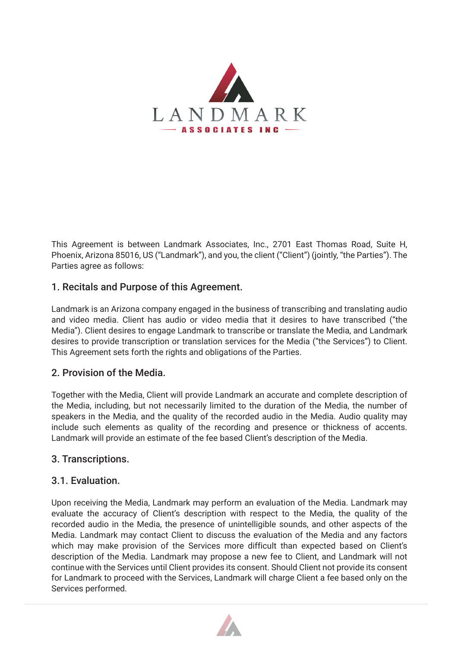

This Agreement is between Landmark Associates, Inc., 2701 East Thomas Road, Suite H, Phoenix, Arizona 85016, US ("Landmark"), and you, the client ("Client") (jointly, "the Parties"). The Parties agree as follows:

# 1. Recitals and Purpose of this Agreement.

Landmark is an Arizona company engaged in the business of transcribing and translating audio and video media. Client has audio or video media that it desires to have transcribed ("the Media"). Client desires to engage Landmark to transcribe or translate the Media, and Landmark desires to provide transcription or translation services for the Media ("the Services") to Client. This Agreement sets forth the rights and obligations of the Parties.

# 2. Provision of the Media.

Together with the Media, Client will provide Landmark an accurate and complete description of the Media, including, but not necessarily limited to the duration of the Media, the number of speakers in the Media, and the quality of the recorded audio in the Media. Audio quality may include such elements as quality of the recording and presence or thickness of accents. Landmark will provide an estimate of the fee based Client's description of the Media.

# 3. Transcriptions.

# 3.1. Evaluation.

Upon receiving the Media, Landmark may perform an evaluation of the Media. Landmark may evaluate the accuracy of Client's description with respect to the Media, the quality of the recorded audio in the Media, the presence of unintelligible sounds, and other aspects of the Media. Landmark may contact Client to discuss the evaluation of the Media and any factors which may make provision of the Services more difficult than expected based on Client's description of the Media. Landmark may propose a new fee to Client, and Landmark will not continue with the Services until Client provides its consent. Should Client not provide its consent for Landmark to proceed with the Services, Landmark will charge Client a fee based only on the Services performed.

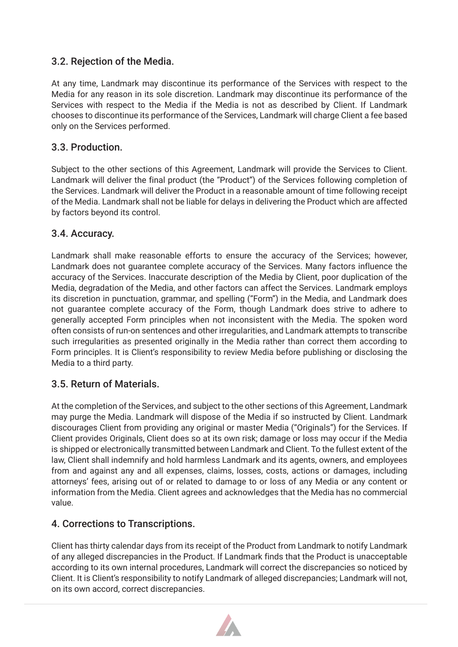# 3.2. Rejection of the Media.

At any time, Landmark may discontinue its performance of the Services with respect to the Media for any reason in its sole discretion. Landmark may discontinue its performance of the Services with respect to the Media if the Media is not as described by Client. If Landmark chooses to discontinue its performance of the Services, Landmark will charge Client a fee based only on the Services performed.

#### 3.3. Production.

Subject to the other sections of this Agreement, Landmark will provide the Services to Client. Landmark will deliver the final product (the "Product") of the Services following completion of the Services. Landmark will deliver the Product in a reasonable amount of time following receipt of the Media. Landmark shall not be liable for delays in delivering the Product which are affected by factors beyond its control.

#### 3.4. Accuracy.

Landmark shall make reasonable efforts to ensure the accuracy of the Services; however, Landmark does not guarantee complete accuracy of the Services. Many factors influence the accuracy of the Services. Inaccurate description of the Media by Client, poor duplication of the Media, degradation of the Media, and other factors can affect the Services. Landmark employs its discretion in punctuation, grammar, and spelling ("Form") in the Media, and Landmark does not guarantee complete accuracy of the Form, though Landmark does strive to adhere to generally accepted Form principles when not inconsistent with the Media. The spoken word often consists of run-on sentences and other irregularities, and Landmark attempts to transcribe such irregularities as presented originally in the Media rather than correct them according to Form principles. It is Client's responsibility to review Media before publishing or disclosing the Media to a third party.

# 3.5. Return of Materials.

At the completion of the Services, and subject to the other sections of this Agreement, Landmark may purge the Media. Landmark will dispose of the Media if so instructed by Client. Landmark discourages Client from providing any original or master Media ("Originals") for the Services. If Client provides Originals, Client does so at its own risk; damage or loss may occur if the Media is shipped or electronically transmitted between Landmark and Client. To the fullest extent of the law, Client shall indemnify and hold harmless Landmark and its agents, owners, and employees from and against any and all expenses, claims, losses, costs, actions or damages, including attorneys' fees, arising out of or related to damage to or loss of any Media or any content or information from the Media. Client agrees and acknowledges that the Media has no commercial value.

# 4. Corrections to Transcriptions.

Client has thirty calendar days from its receipt of the Product from Landmark to notify Landmark of any alleged discrepancies in the Product. If Landmark finds that the Product is unacceptable according to its own internal procedures, Landmark will correct the discrepancies so noticed by Client. It is Client's responsibility to notify Landmark of alleged discrepancies; Landmark will not, on its own accord, correct discrepancies.

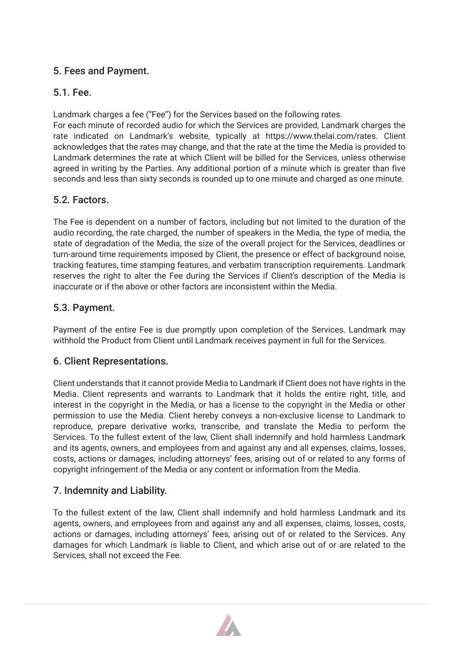# 5. Fees and Payment.

# 5.1. Fee.

Landmark charges a fee ("Fee") for the Services based on the following rates.

For each minute of recorded audio for which the Services are provided, Landmark charges the rate indicated on Landmark's website, typically at https://www.thelai.com/rates. Client acknowledges that the rates may change, and that the rate at the time the Media is provided to Landmark determines the rate at which Client will be billed for the Services, unless otherwise agreed in writing by the Parties. Any additional portion of a minute which is greater than five seconds and less than sixty seconds is rounded up to one minute and charged as one minute.

#### 5.2. Factors.

The Fee is dependent on a number of factors, including but not limited to the duration of the audio recording, the rate charged, the number of speakers in the Media, the type of media, the state of degradation of the Media, the size of the overall project for the Services, deadlines or turn-around time requirements imposed by Client, the presence or effect of background noise, tracking features, time stamping features, and verbatim transcription requirements. Landmark reserves the right to alter the Fee during the Services if Client's description of the Media is inaccurate or if the above or other factors are inconsistent within the Media.

#### 5.3. Payment.

Payment of the entire Fee is due promptly upon completion of the Services. Landmark may withhold the Product from Client until Landmark receives payment in full for the Services.

# 6. Client Representations.

Client understands that it cannot provide Media to Landmark if Client does not have rights in the Media. Client represents and warrants to Landmark that it holds the entire right, title, and interest in the copyright in the Media, or has a license to the copyright in the Media or other permission to use the Media. Client hereby conveys a non-exclusive license to Landmark to reproduce, prepare derivative works, transcribe, and translate the Media to perform the Services. To the fullest extent of the law, Client shall indemnify and hold harmless Landmark and its agents, owners, and employees from and against any and all expenses, claims, losses, costs, actions or damages, including attorneys' fees, arising out of or related to any forms of copyright infringement of the Media or any content or information from the Media.

# 7. Indemnity and Liability.

To the fullest extent of the law, Client shall indemnify and hold harmless Landmark and its agents, owners, and employees from and against any and all expenses, claims, losses, costs, actions or damages, including attorneys' fees, arising out of or related to the Services. Any damages for which Landmark is liable to Client, and which arise out of or are related to the Services, shall not exceed the Fee.